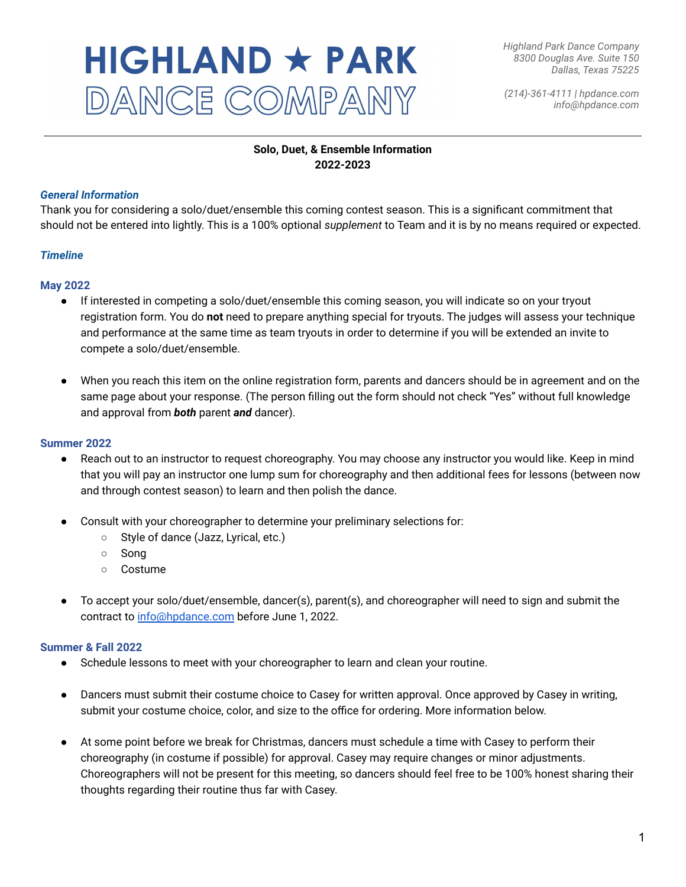# HIGHLAND \* PARK DANCE COMPANY

*(214)-361-4111 | hpdance.com info@hpdance.com*

# **Solo, Duet, & Ensemble Information 2022-2023**

# *General Information*

Thank you for considering a solo/duet/ensemble this coming contest season. This is a significant commitment that should not be entered into lightly. This is a 100% optional *supplement* to Team and it is by no means required or expected.

# *Timeline*

#### **May 2022**

- If interested in competing a solo/duet/ensemble this coming season, you will indicate so on your tryout registration form. You do **not** need to prepare anything special for tryouts. The judges will assess your technique and performance at the same time as team tryouts in order to determine if you will be extended an invite to compete a solo/duet/ensemble.
- When you reach this item on the online registration form, parents and dancers should be in agreement and on the same page about your response. (The person filling out the form should not check "Yes" without full knowledge and approval from *both* parent *and* dancer).

#### **Summer 2022**

- Reach out to an instructor to request choreography. You may choose any instructor you would like. Keep in mind that you will pay an instructor one lump sum for choreography and then additional fees for lessons (between now and through contest season) to learn and then polish the dance.
- Consult with your choreographer to determine your preliminary selections for:
	- Style of dance (Jazz, Lyrical, etc.)
	- Song
	- Costume
- To accept your solo/duet/ensemble, dancer(s), parent(s), and choreographer will need to sign and submit the contract to [info@hpdance.com](mailto:info@hpdance.com) before June 1, 2022.

#### **Summer & Fall 2022**

- Schedule lessons to meet with your choreographer to learn and clean your routine.
- Dancers must submit their costume choice to Casey for written approval. Once approved by Casey in writing, submit your costume choice, color, and size to the office for ordering. More information below.
- At some point before we break for Christmas, dancers must schedule a time with Casey to perform their choreography (in costume if possible) for approval. Casey may require changes or minor adjustments. Choreographers will not be present for this meeting, so dancers should feel free to be 100% honest sharing their thoughts regarding their routine thus far with Casey.